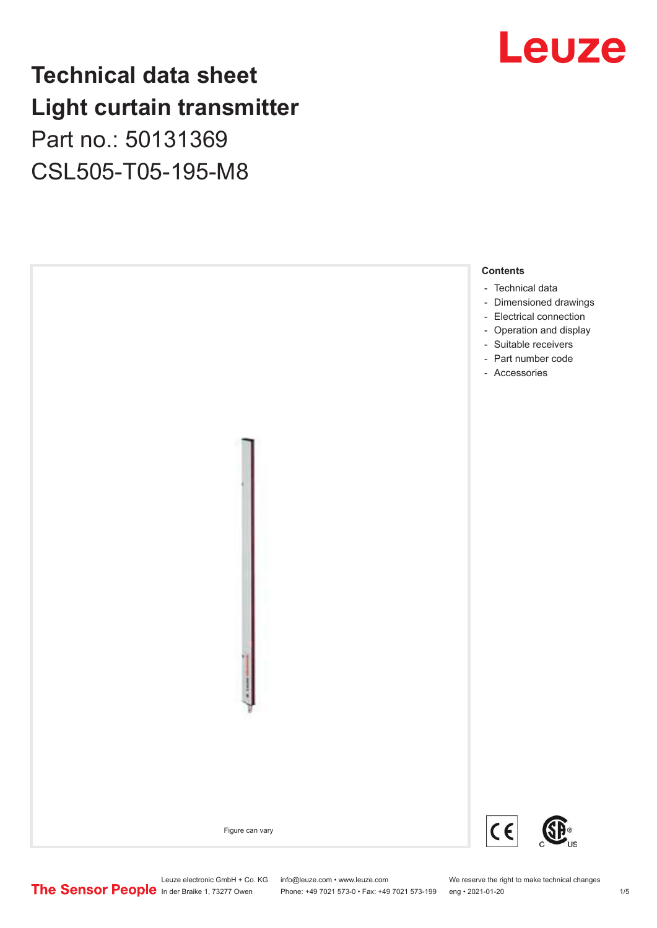### **Technical data sheet Light curtain transmitter** Part no.: 50131369 CSL505-T05-195-M8





Phone: +49 7021 573-0 • Fax: +49 7021 573-199 eng • 2021-01-20 1 20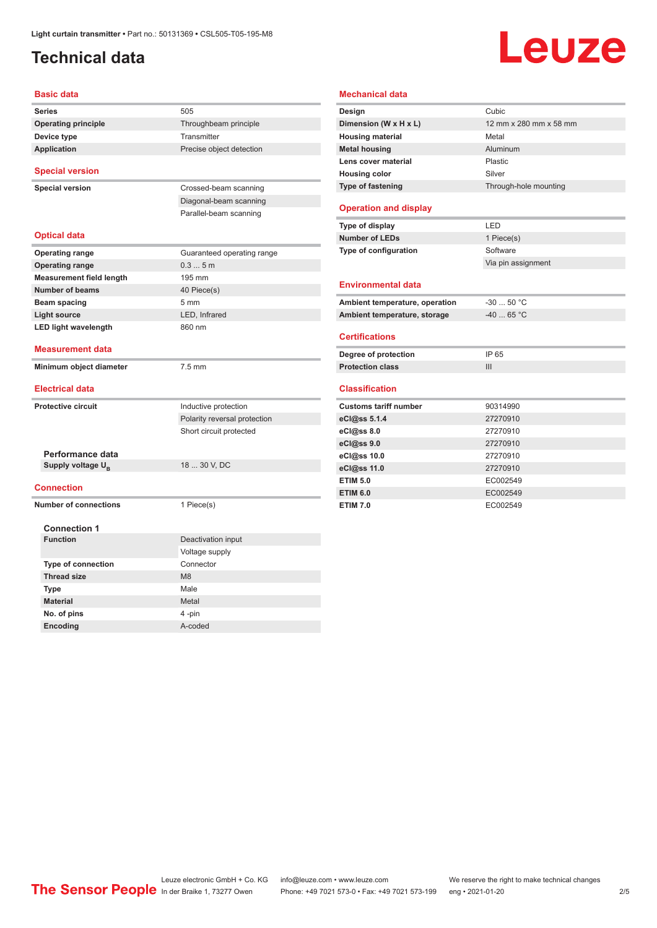#### <span id="page-1-0"></span>**Technical data**

# Leuze

| Basic data                      |                              |
|---------------------------------|------------------------------|
| <b>Series</b>                   | 505                          |
| <b>Operating principle</b>      | Throughbeam principle        |
| Device type                     | Transmitter                  |
| <b>Application</b>              | Precise object detection     |
| <b>Special version</b>          |                              |
| <b>Special version</b>          | Crossed-beam scanning        |
|                                 | Diagonal-beam scanning       |
|                                 | Parallel-beam scanning       |
| <b>Optical data</b>             |                              |
| <b>Operating range</b>          | Guaranteed operating range   |
| <b>Operating range</b>          | 0.35m                        |
| <b>Measurement field length</b> | 195 mm                       |
| <b>Number of beams</b>          | 40 Piece(s)                  |
| Beam spacing                    | $5 \text{ mm}$               |
| <b>Light source</b>             | LED, Infrared                |
| <b>LED light wavelength</b>     | 860 nm                       |
| <b>Measurement data</b>         |                              |
| Minimum object diameter         | $7.5$ mm                     |
| <b>Electrical data</b>          |                              |
| Protective circuit              | Inductive protection         |
|                                 | Polarity reversal protection |
|                                 | Short circuit protected      |
| Performance data                |                              |
| Supply voltage U <sub>R</sub>   | 18  30 V, DC                 |
| Connection                      |                              |
| <b>Number of connections</b>    | 1 Piece(s)                   |
| <b>Connection 1</b>             |                              |
| <b>Function</b>                 | Deactivation input           |
|                                 | Voltage supply               |
|                                 | Connector                    |
| <b>Type of connection</b>       |                              |
| <b>Thread size</b>              | M <sub>8</sub>               |
| Type                            | Male                         |
| <b>Material</b>                 | Metal                        |
| No. of pins                     | 4-pin                        |

| Design                                                                                                                                                                                                                                                                                           | Cubic                  |
|--------------------------------------------------------------------------------------------------------------------------------------------------------------------------------------------------------------------------------------------------------------------------------------------------|------------------------|
| Dimension (W x H x L)                                                                                                                                                                                                                                                                            | 12 mm x 280 mm x 58 mm |
| <b>Housing material</b>                                                                                                                                                                                                                                                                          | Metal                  |
| <b>Metal housing</b>                                                                                                                                                                                                                                                                             | Aluminum               |
| Lens cover material                                                                                                                                                                                                                                                                              | Plastic                |
| <b>Housing color</b>                                                                                                                                                                                                                                                                             | Silver                 |
| Type of fastening                                                                                                                                                                                                                                                                                | Through-hole mounting  |
| <b>Operation and display</b>                                                                                                                                                                                                                                                                     |                        |
| Type of display                                                                                                                                                                                                                                                                                  | LED                    |
| <b>Number of LEDs</b>                                                                                                                                                                                                                                                                            | 1 Piece(s)             |
| Type of configuration                                                                                                                                                                                                                                                                            | Software               |
|                                                                                                                                                                                                                                                                                                  | Via pin assignment     |
| <b>Environmental data</b>                                                                                                                                                                                                                                                                        |                        |
|                                                                                                                                                                                                                                                                                                  |                        |
|                                                                                                                                                                                                                                                                                                  | $-3050 °C$             |
|                                                                                                                                                                                                                                                                                                  | $-40$ 65 °C            |
|                                                                                                                                                                                                                                                                                                  |                        |
|                                                                                                                                                                                                                                                                                                  | IP 65                  |
|                                                                                                                                                                                                                                                                                                  | III                    |
|                                                                                                                                                                                                                                                                                                  |                        |
|                                                                                                                                                                                                                                                                                                  | 90314990               |
|                                                                                                                                                                                                                                                                                                  | 27270910               |
|                                                                                                                                                                                                                                                                                                  | 27270910               |
|                                                                                                                                                                                                                                                                                                  | 27270910               |
|                                                                                                                                                                                                                                                                                                  | 27270910               |
|                                                                                                                                                                                                                                                                                                  | 27270910               |
| Ambient temperature, operation<br>Ambient temperature, storage<br><b>Certifications</b><br>Degree of protection<br><b>Protection class</b><br><b>Classification</b><br><b>Customs tariff number</b><br>eCl@ss 5.1.4<br>eCl@ss 8.0<br>eCl@ss 9.0<br>eCl@ss 10.0<br>eCl@ss 11.0<br><b>ETIM 5.0</b> | EC002549               |
| <b>ETIM 6.0</b>                                                                                                                                                                                                                                                                                  | EC002549               |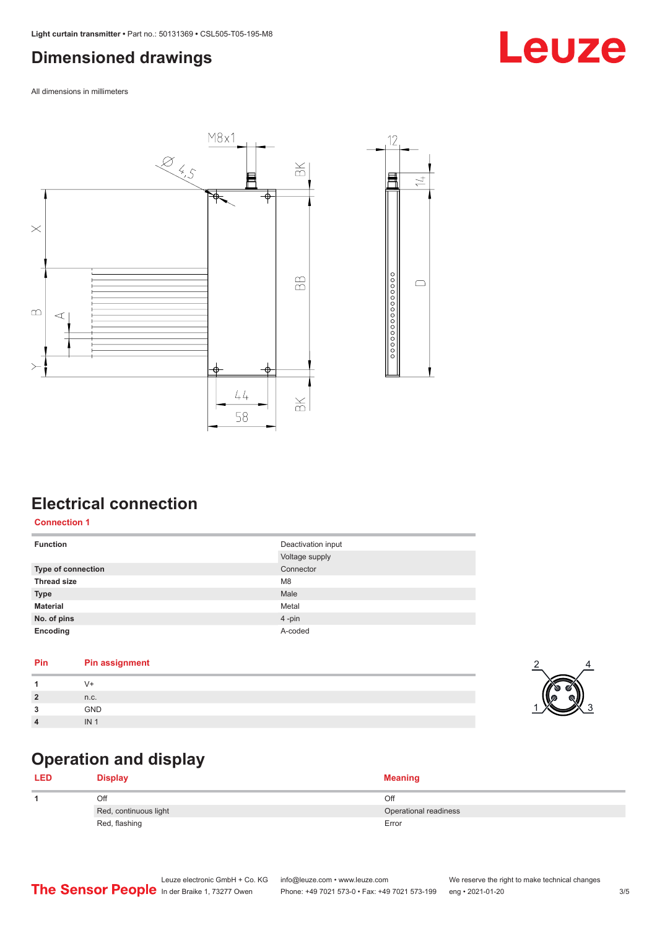#### <span id="page-2-0"></span>**Dimensioned drawings**

All dimensions in millimeters





### **Electrical connection**

**Connection 1**

| <b>Function</b>    | Deactivation input |
|--------------------|--------------------|
|                    | Voltage supply     |
| Type of connection | Connector          |
| <b>Thread size</b> | M <sub>8</sub>     |
| <b>Type</b>        | Male               |
| <b>Material</b>    | Metal              |
| No. of pins        | 4-pin              |
| Encoding           | A-coded            |

#### **Pin Pin assignment**

| n.c.       |  |
|------------|--|
| GND        |  |
| IN<br>11 V |  |

#### **Operation and display**

| <b>LED</b> | Display               | <b>Meaning</b>        |
|------------|-----------------------|-----------------------|
|            | Off                   | Off                   |
|            | Red, continuous light | Operational readiness |
|            | Red, flashing         | Error                 |

4

 $\frac{2}{2}$ 

### Leuze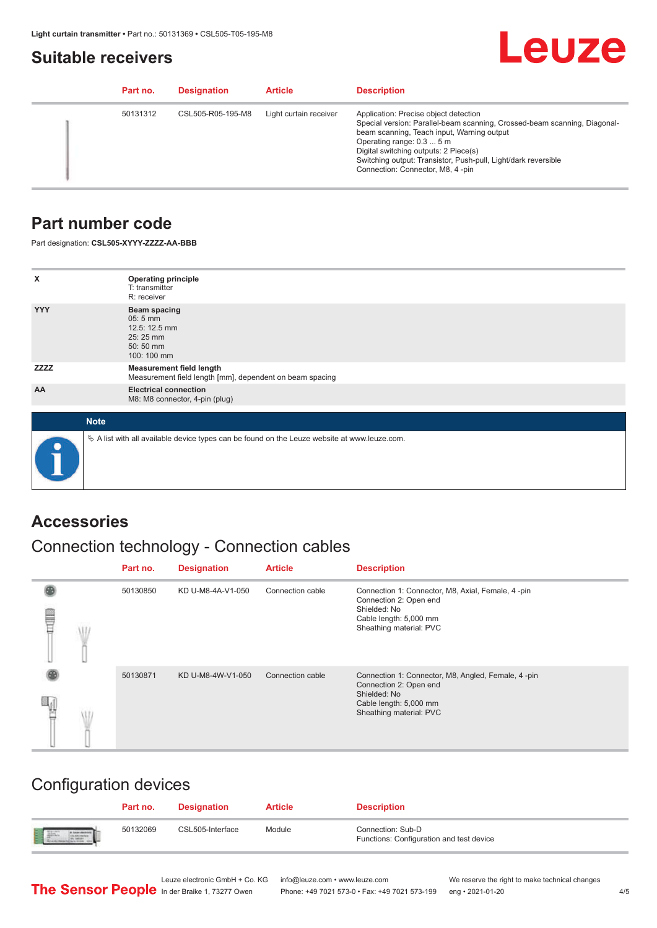#### <span id="page-3-0"></span>**Suitable receivers**

## Leuze

| Part no. | <b>Designation</b> | <b>Article</b>         | <b>Description</b>                                                                                                                                                                                                                                                                                                                           |
|----------|--------------------|------------------------|----------------------------------------------------------------------------------------------------------------------------------------------------------------------------------------------------------------------------------------------------------------------------------------------------------------------------------------------|
| 50131312 | CSL505-R05-195-M8  | Light curtain receiver | Application: Precise object detection<br>Special version: Parallel-beam scanning, Crossed-beam scanning, Diagonal-<br>beam scanning, Teach input, Warning output<br>Operating range: 0.3  5 m<br>Digital switching outputs: 2 Piece(s)<br>Switching output: Transistor, Push-pull, Light/dark reversible<br>Connection: Connector, M8, 4-pin |

#### **Part number code**

Part designation: **CSL505-XYYY-ZZZZ-AA-BBB**

| X            | <b>Operating principle</b><br>T: transmitter<br>R: receiver                                       |
|--------------|---------------------------------------------------------------------------------------------------|
| <b>YYY</b>   | <b>Beam spacing</b><br>$05:5$ mm<br>12.5: 12.5 mm<br>25:25 mm<br>50:50 mm<br>100: 100 mm          |
| <b>ZZZZZ</b> | <b>Measurement field length</b><br>Measurement field length [mm], dependent on beam spacing       |
| AA           | <b>Electrical connection</b><br>M8: M8 connector, 4-pin (plug)                                    |
| <b>Note</b>  |                                                                                                   |
|              | Vector A list with all available device types can be found on the Leuze website at www.leuze.com. |

#### **Accessories**

#### Connection technology - Connection cables

|   | Part no. | <b>Designation</b> | <b>Article</b>   | <b>Description</b>                                                                                                                                |
|---|----------|--------------------|------------------|---------------------------------------------------------------------------------------------------------------------------------------------------|
| ₩ | 50130850 | KD U-M8-4A-V1-050  | Connection cable | Connection 1: Connector, M8, Axial, Female, 4-pin<br>Connection 2: Open end<br>Shielded: No<br>Cable length: 5,000 mm<br>Sheathing material: PVC  |
|   | 50130871 | KD U-M8-4W-V1-050  | Connection cable | Connection 1: Connector, M8, Angled, Female, 4-pin<br>Connection 2: Open end<br>Shielded: No<br>Cable length: 5,000 mm<br>Sheathing material: PVC |

#### Configuration devices

|     | Part no. | <b>Designation</b> | <b>Article</b> | <b>Description</b>                                            |
|-----|----------|--------------------|----------------|---------------------------------------------------------------|
| 日平、 | 50132069 | CSL505-Interface   | Module         | Connection: Sub-D<br>Functions: Configuration and test device |

Phone: +49 7021 573-0 • Fax: +49 7021 573-199 eng • 2021-01-20

Leuze electronic GmbH + Co. KG info@leuze.com • www.leuze.com We reserve the right to make technical changes<br>
The Sensor People in der Braike 1, 73277 Owen Phone: +49 7021 573-0 • Fax: +49 7021 573-199 eng • 2021-01-20